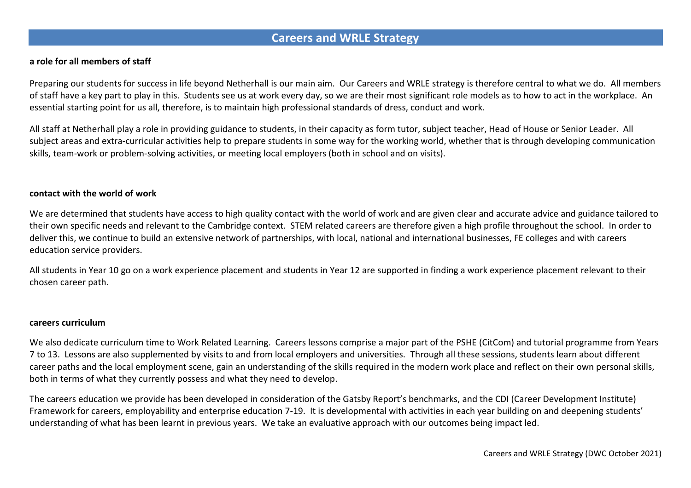# **Careers and WRLE Strategy**

#### **a role for all members of staff**

Preparing our students for success in life beyond Netherhall is our main aim. Our Careers and WRLE strategy is therefore central to what we do. All members of staff have a key part to play in this. Students see us at work every day, so we are their most significant role models as to how to act in the workplace. An essential starting point for us all, therefore, is to maintain high professional standards of dress, conduct and work.

All staff at Netherhall play a role in providing guidance to students, in their capacity as form tutor, subject teacher, Head of House or Senior Leader. All subject areas and extra-curricular activities help to prepare students in some way for the working world, whether that is through developing communication skills, team-work or problem-solving activities, or meeting local employers (both in school and on visits).

#### **contact with the world of work**

We are determined that students have access to high quality contact with the world of work and are given clear and accurate advice and guidance tailored to their own specific needs and relevant to the Cambridge context. STEM related careers are therefore given a high profile throughout the school. In order to deliver this, we continue to build an extensive network of partnerships, with local, national and international businesses, FE colleges and with careers education service providers.

All students in Year 10 go on a work experience placement and students in Year 12 are supported in finding a work experience placement relevant to their chosen career path.

#### **careers curriculum**

We also dedicate curriculum time to Work Related Learning. Careers lessons comprise a major part of the PSHE (CitCom) and tutorial programme from Years 7 to 13. Lessons are also supplemented by visits to and from local employers and universities. Through all these sessions, students learn about different career paths and the local employment scene, gain an understanding of the skills required in the modern work place and reflect on their own personal skills, both in terms of what they currently possess and what they need to develop.

The careers education we provide has been developed in consideration of the Gatsby Report's benchmarks, and the CDI (Career Development Institute) Framework for careers, employability and enterprise education 7-19. It is developmental with activities in each year building on and deepening students' understanding of what has been learnt in previous years. We take an evaluative approach with our outcomes being impact led.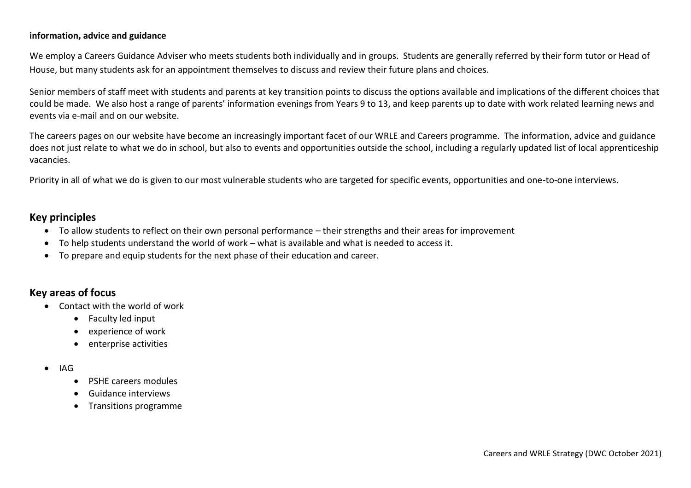#### **information, advice and guidance**

We employ a Careers Guidance Adviser who meets students both individually and in groups. Students are generally referred by their form tutor or Head of House, but many students ask for an appointment themselves to discuss and review their future plans and choices.

Senior members of staff meet with students and parents at key transition points to discuss the options available and implications of the different choices that could be made. We also host a range of parents' information evenings from Years 9 to 13, and keep parents up to date with work related learning news and events via e-mail and on our website.

The careers pages on our website have become an increasingly important facet of our WRLE and Careers programme. The information, advice and guidance does not just relate to what we do in school, but also to events and opportunities outside the school, including a regularly updated list of local apprenticeship vacancies.

Priority in all of what we do is given to our most vulnerable students who are targeted for specific events, opportunities and one-to-one interviews.

#### **Key principles**

- To allow students to reflect on their own personal performance their strengths and their areas for improvement
- To help students understand the world of work what is available and what is needed to access it.
- To prepare and equip students for the next phase of their education and career.

## **Key areas of focus**

- Contact with the world of work
	- Faculty led input
	- experience of work
	- enterprise activities
- IAG
	- PSHE careers modules
	- Guidance interviews
	- Transitions programme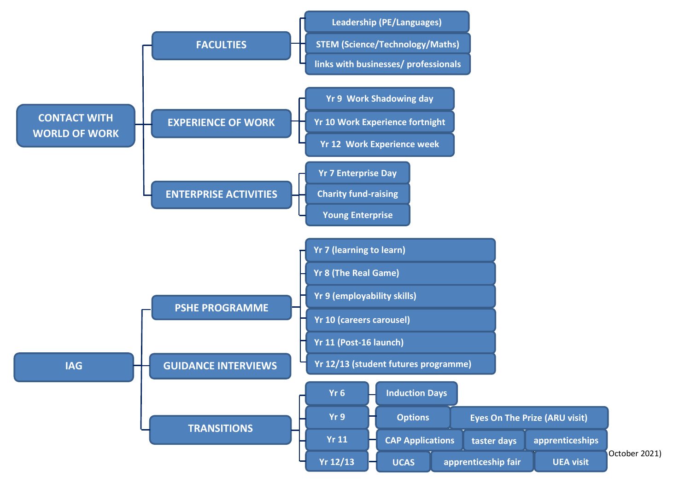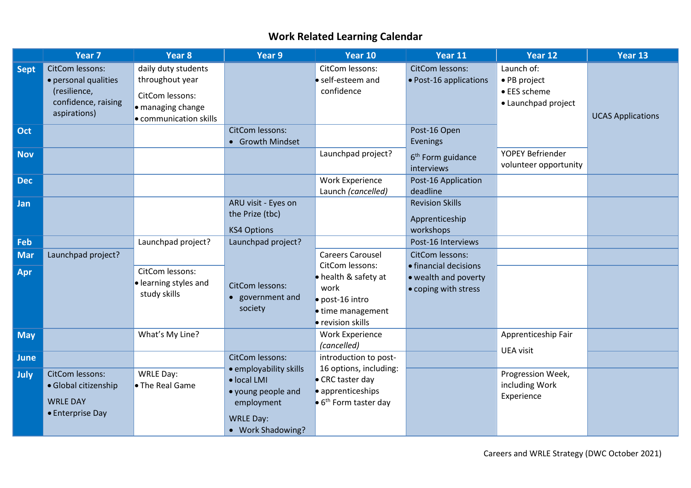# **Work Related Learning Calendar**

|                   | Year <sub>7</sub>                                                                                     | Year 8                                                                                                   | Year 9                                                                                                             | Year 10                                                                                                                                     | Year 11                                                                                  | Year 12                                                           | Year 13                  |
|-------------------|-------------------------------------------------------------------------------------------------------|----------------------------------------------------------------------------------------------------------|--------------------------------------------------------------------------------------------------------------------|---------------------------------------------------------------------------------------------------------------------------------------------|------------------------------------------------------------------------------------------|-------------------------------------------------------------------|--------------------------|
| <b>Sept</b>       | <b>CitCom lessons:</b><br>· personal qualities<br>(resilience,<br>confidence, raising<br>aspirations) | daily duty students<br>throughout year<br>CitCom lessons:<br>• managing change<br>• communication skills |                                                                                                                    | CitCom lessons:<br>self-esteem and<br>confidence                                                                                            | CitCom lessons:<br>• Post-16 applications                                                | Launch of:<br>• PB project<br>• EES scheme<br>• Launchpad project | <b>UCAS Applications</b> |
| Oct<br><b>Nov</b> |                                                                                                       |                                                                                                          | <b>CitCom lessons:</b><br>• Growth Mindset                                                                         | Launchpad project?                                                                                                                          | Post-16 Open<br>Evenings<br>6 <sup>th</sup> Form guidance<br>interviews                  | YOPEY Befriender<br>volunteer opportunity                         |                          |
| <b>Dec</b>        |                                                                                                       |                                                                                                          |                                                                                                                    | <b>Work Experience</b><br>Launch (cancelled)                                                                                                | Post-16 Application<br>deadline                                                          |                                                                   |                          |
| Jan               |                                                                                                       |                                                                                                          | ARU visit - Eyes on<br>the Prize (tbc)<br><b>KS4 Options</b>                                                       |                                                                                                                                             | <b>Revision Skills</b><br>Apprenticeship<br>workshops                                    |                                                                   |                          |
| Feb               |                                                                                                       | Launchpad project?                                                                                       | Launchpad project?                                                                                                 |                                                                                                                                             | Post-16 Interviews                                                                       |                                                                   |                          |
| <b>Mar</b><br>Apr | Launchpad project?                                                                                    | CitCom lessons:<br>· learning styles and<br>study skills                                                 | CitCom lessons:<br>• government and<br>society                                                                     | <b>Careers Carousel</b><br>CitCom lessons:<br>health & safety at<br>work<br>$\bullet$ post-16 intro<br>• time management<br>revision skills | CitCom lessons:<br>· financial decisions<br>• wealth and poverty<br>• coping with stress |                                                                   |                          |
| <b>May</b>        |                                                                                                       | What's My Line?                                                                                          |                                                                                                                    | <b>Work Experience</b><br>(cancelled)                                                                                                       |                                                                                          | Apprenticeship Fair<br><b>UEA visit</b>                           |                          |
| <b>June</b>       |                                                                                                       |                                                                                                          | <b>CitCom lessons:</b>                                                                                             | introduction to post-                                                                                                                       |                                                                                          |                                                                   |                          |
| July              | CitCom lessons:<br>• Global citizenship<br><b>WRLE DAY</b><br>• Enterprise Day                        | <b>WRLE Day:</b><br>• The Real Game                                                                      | • employability skills<br>· local LMI<br>• young people and<br>employment<br><b>WRLE Day:</b><br>• Work Shadowing? | 16 options, including:<br>• CRC taster day<br>apprenticeships<br>$\bullet$ 6 <sup>th</sup> Form taster day                                  |                                                                                          | Progression Week,<br>including Work<br>Experience                 |                          |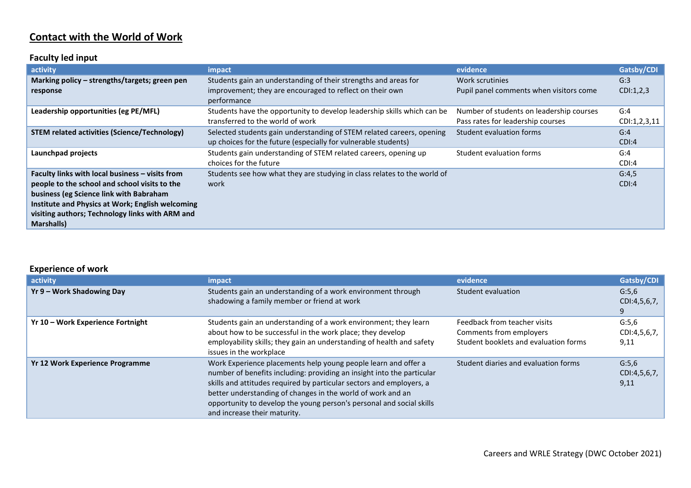# **Contact with the World of Work**

# **Faculty led input**

| activity                                            | impact                                                                   | evidence                                 | Gatsby/CDI   |
|-----------------------------------------------------|--------------------------------------------------------------------------|------------------------------------------|--------------|
| Marking policy - strengths/targets; green pen       | Students gain an understanding of their strengths and areas for          | Work scrutinies                          | G:3          |
| response                                            | improvement; they are encouraged to reflect on their own                 | Pupil panel comments when visitors come  | CDI:1,2,3    |
|                                                     | performance                                                              |                                          |              |
| Leadership opportunities (eg PE/MFL)                | Students have the opportunity to develop leadership skills which can be  | Number of students on leadership courses | G:4          |
|                                                     | transferred to the world of work                                         | Pass rates for leadership courses        | CDI:1,2,3,11 |
| <b>STEM related activities (Science/Technology)</b> | Selected students gain understanding of STEM related careers, opening    | Student evaluation forms                 | G:4          |
|                                                     | up choices for the future (especially for vulnerable students)           |                                          | CDI:4        |
| Launchpad projects                                  | Students gain understanding of STEM related careers, opening up          | Student evaluation forms                 | G:4          |
|                                                     | choices for the future                                                   |                                          | CDI:4        |
| Faculty links with local business - visits from     | Students see how what they are studying in class relates to the world of |                                          | G:4,5        |
| people to the school and school visits to the       | work                                                                     |                                          | CDI:4        |
| business (eg Science link with Babraham             |                                                                          |                                          |              |
| Institute and Physics at Work; English welcoming    |                                                                          |                                          |              |
| visiting authors; Technology links with ARM and     |                                                                          |                                          |              |
| <b>Marshalls</b> )                                  |                                                                          |                                          |              |

#### **Experience of work**

| activity                               | impact                                                                                                                                                                                                                                                                                                                                                                                  | evidence                                                                                         | Gatsby/CDI                    |
|----------------------------------------|-----------------------------------------------------------------------------------------------------------------------------------------------------------------------------------------------------------------------------------------------------------------------------------------------------------------------------------------------------------------------------------------|--------------------------------------------------------------------------------------------------|-------------------------------|
| Yr 9 – Work Shadowing Day              | Students gain an understanding of a work environment through<br>shadowing a family member or friend at work                                                                                                                                                                                                                                                                             | Student evaluation                                                                               | G:5,6<br>CDI:4,5,6,7,         |
| Yr 10 - Work Experience Fortnight      | Students gain an understanding of a work environment; they learn<br>about how to be successful in the work place; they develop<br>employability skills; they gain an understanding of health and safety<br>issues in the workplace                                                                                                                                                      | Feedback from teacher visits<br>Comments from employers<br>Student booklets and evaluation forms | G:5,6<br>CDI:4,5,6,7,<br>9,11 |
| <b>Yr 12 Work Experience Programme</b> | Work Experience placements help young people learn and offer a<br>number of benefits including: providing an insight into the particular<br>skills and attitudes required by particular sectors and employers, a<br>better understanding of changes in the world of work and an<br>opportunity to develop the young person's personal and social skills<br>and increase their maturity. | Student diaries and evaluation forms                                                             | G:5,6<br>CDI:4,5,6,7,<br>9,11 |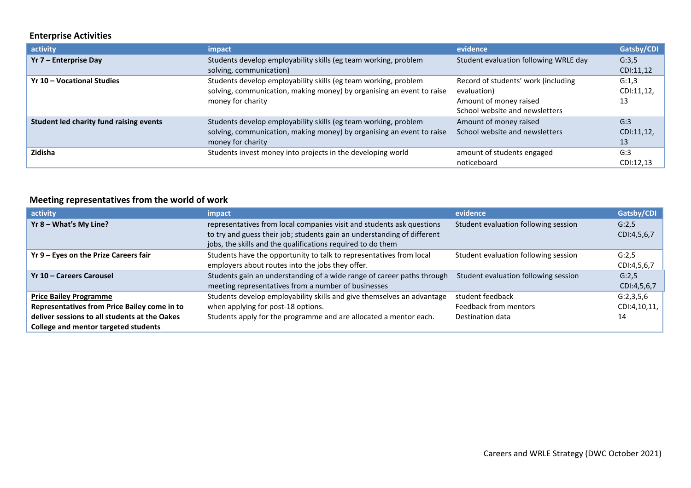## **Enterprise Activities**

| activity                                | impact                                                                | evidence                              | Gatsby/CDI |
|-----------------------------------------|-----------------------------------------------------------------------|---------------------------------------|------------|
| Yr 7 - Enterprise Day                   | Students develop employability skills (eg team working, problem       | Student evaluation following WRLE day | G:3,5      |
|                                         | solving, communication)                                               |                                       | CDI:11,12  |
| Yr 10 - Vocational Studies              | Students develop employability skills (eg team working, problem       | Record of students' work (including   | G:1,3      |
|                                         | solving, communication, making money) by organising an event to raise | evaluation)                           | CDI:11,12, |
|                                         | money for charity                                                     | Amount of money raised                | 13         |
|                                         |                                                                       | School website and newsletters        |            |
| Student led charity fund raising events | Students develop employability skills (eg team working, problem       | Amount of money raised                | G:3        |
|                                         | solving, communication, making money) by organising an event to raise | School website and newsletters        | CDI:11,12, |
|                                         | money for charity                                                     |                                       | 13         |
| Zidisha                                 | Students invest money into projects in the developing world           | amount of students engaged            | G:3        |
|                                         |                                                                       | noticeboard                           | CDI:12,13  |

# **Meeting representatives from the world of work**

| activity                                      | impact                                                                                                                                                                                                          | evidence                             | Gatsby/CDI           |
|-----------------------------------------------|-----------------------------------------------------------------------------------------------------------------------------------------------------------------------------------------------------------------|--------------------------------------|----------------------|
| Yr 8 – What's My Line?                        | representatives from local companies visit and students ask questions<br>to try and guess their job; students gain an understanding of different<br>jobs, the skills and the qualifications required to do them | Student evaluation following session | G:2,5<br>CDI:4,5,6,7 |
| Yr 9 - Eyes on the Prize Careers fair         | Students have the opportunity to talk to representatives from local<br>employers about routes into the jobs they offer.                                                                                         | Student evaluation following session | G:2.5<br>CDI:4,5,6,7 |
| Yr 10 - Careers Carousel                      | Students gain an understanding of a wide range of career paths through<br>meeting representatives from a number of businesses                                                                                   | Student evaluation following session | G:2,5<br>CDI:4,5,6,7 |
| <b>Price Bailey Programme</b>                 | Students develop employability skills and give themselves an advantage                                                                                                                                          | student feedback                     | G:2,3,5,6            |
| Representatives from Price Bailey come in to  | when applying for post-18 options.                                                                                                                                                                              | Feedback from mentors                | CDI:4,10,11,         |
| deliver sessions to all students at the Oakes | Students apply for the programme and are allocated a mentor each.                                                                                                                                               | Destination data                     | 14                   |
| <b>College and mentor targeted students</b>   |                                                                                                                                                                                                                 |                                      |                      |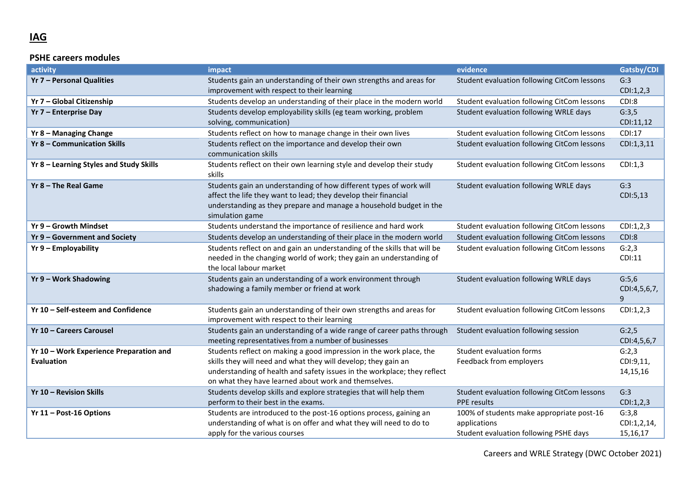#### **PSHE careers modules**

| activity                                              | impact                                                                                                                                                                                                                                                                    | evidence                                                                                            | Gatsby/CDI                       |
|-------------------------------------------------------|---------------------------------------------------------------------------------------------------------------------------------------------------------------------------------------------------------------------------------------------------------------------------|-----------------------------------------------------------------------------------------------------|----------------------------------|
| <b>Yr 7 - Personal Qualities</b>                      | Students gain an understanding of their own strengths and areas for<br>improvement with respect to their learning                                                                                                                                                         | Student evaluation following CitCom lessons                                                         | G:3<br>CDI:1,2,3                 |
| Yr 7 - Global Citizenship                             | Students develop an understanding of their place in the modern world                                                                                                                                                                                                      | Student evaluation following CitCom lessons                                                         | CDI:8                            |
| Yr 7 - Enterprise Day                                 | Students develop employability skills (eg team working, problem<br>solving, communication)                                                                                                                                                                                | Student evaluation following WRLE days                                                              | G:3,5<br>CDI:11,12               |
| Yr 8 - Managing Change                                | Students reflect on how to manage change in their own lives                                                                                                                                                                                                               | Student evaluation following CitCom lessons                                                         | CDI:17                           |
| <b>Yr 8 - Communication Skills</b>                    | Students reflect on the importance and develop their own<br>communication skills                                                                                                                                                                                          | Student evaluation following CitCom lessons                                                         | CDI:1,3,11                       |
| Yr 8 - Learning Styles and Study Skills               | Students reflect on their own learning style and develop their study<br>skills                                                                                                                                                                                            | Student evaluation following CitCom lessons                                                         | CDI:1,3                          |
| Yr 8 - The Real Game                                  | Students gain an understanding of how different types of work will<br>affect the life they want to lead; they develop their financial<br>understanding as they prepare and manage a household budget in the<br>simulation game                                            | Student evaluation following WRLE days                                                              | G:3<br>CDI:5,13                  |
| Yr 9 - Growth Mindset                                 | Students understand the importance of resilience and hard work                                                                                                                                                                                                            | Student evaluation following CitCom lessons                                                         | CDI:1,2,3                        |
| Yr 9 - Government and Society                         | Students develop an understanding of their place in the modern world                                                                                                                                                                                                      | Student evaluation following CitCom lessons                                                         | CDI:8                            |
| Yr 9 - Employability                                  | Students reflect on and gain an understanding of the skills that will be<br>needed in the changing world of work; they gain an understanding of<br>the local labour market                                                                                                | Student evaluation following CitCom lessons                                                         | G:2,3<br>CDI:11                  |
| Yr 9 - Work Shadowing                                 | Students gain an understanding of a work environment through<br>shadowing a family member or friend at work                                                                                                                                                               | Student evaluation following WRLE days                                                              | G:5,6<br>CDI:4,5,6,7,<br>9       |
| Yr 10 - Self-esteem and Confidence                    | Students gain an understanding of their own strengths and areas for<br>improvement with respect to their learning                                                                                                                                                         | Student evaluation following CitCom lessons                                                         | CDI:1,2,3                        |
| Yr 10 - Careers Carousel                              | Students gain an understanding of a wide range of career paths through<br>meeting representatives from a number of businesses                                                                                                                                             | Student evaluation following session                                                                | G:2,5<br>CDI:4,5,6,7             |
| Yr 10 - Work Experience Preparation and<br>Evaluation | Students reflect on making a good impression in the work place, the<br>skills they will need and what they will develop; they gain an<br>understanding of health and safety issues in the workplace; they reflect<br>on what they have learned about work and themselves. | Student evaluation forms<br>Feedback from employers                                                 | G:2,3<br>CDI:9,11,<br>14, 15, 16 |
| Yr 10 - Revision Skills                               | Students develop skills and explore strategies that will help them<br>perform to their best in the exams.                                                                                                                                                                 | Student evaluation following CitCom lessons<br><b>PPE</b> results                                   | G:3<br>CDI:1,2,3                 |
| Yr 11 - Post-16 Options                               | Students are introduced to the post-16 options process, gaining an<br>understanding of what is on offer and what they will need to do to<br>apply for the various courses                                                                                                 | 100% of students make appropriate post-16<br>applications<br>Student evaluation following PSHE days | G:3,8<br>CDI:1,2,14,<br>15,16,17 |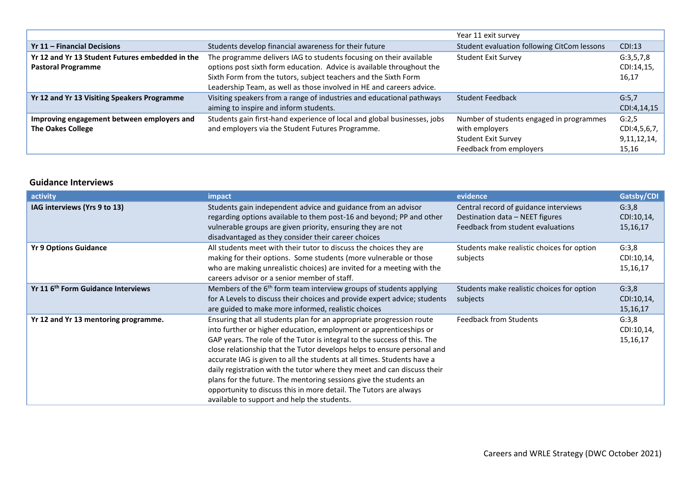|                                                                              |                                                                                                                                                                                                                                                                                        | Year 11 exit survey                                                                                                 |                                                  |
|------------------------------------------------------------------------------|----------------------------------------------------------------------------------------------------------------------------------------------------------------------------------------------------------------------------------------------------------------------------------------|---------------------------------------------------------------------------------------------------------------------|--------------------------------------------------|
| Yr 11 - Financial Decisions                                                  | Students develop financial awareness for their future                                                                                                                                                                                                                                  | Student evaluation following CitCom lessons                                                                         | CDI:13                                           |
| Yr 12 and Yr 13 Student Futures embedded in the<br><b>Pastoral Programme</b> | The programme delivers IAG to students focusing on their available<br>options post sixth form education. Advice is available throughout the<br>Sixth Form from the tutors, subject teachers and the Sixth Form<br>Leadership Team, as well as those involved in HE and careers advice. | <b>Student Exit Survey</b>                                                                                          | G:3,5,7,8<br>CDI:14,15,<br>16,17                 |
| Yr 12 and Yr 13 Visiting Speakers Programme                                  | Visiting speakers from a range of industries and educational pathways<br>aiming to inspire and inform students.                                                                                                                                                                        | <b>Student Feedback</b>                                                                                             | G:5,7<br>CDI:4,14,15                             |
| Improving engagement between employers and<br><b>The Oakes College</b>       | Students gain first-hand experience of local and global businesses, jobs<br>and employers via the Student Futures Programme.                                                                                                                                                           | Number of students engaged in programmes<br>with employers<br><b>Student Exit Survey</b><br>Feedback from employers | G:2,5<br>CDI:4,5,6,7,<br>9, 11, 12, 14,<br>15,16 |

#### **Guidance Interviews**

| activity                                       | impact                                                                                                                                                                                                                                                                                                                                                                                                                                                                                                                                                                                                                                           | evidence                                                                                                      | Gatsby/CDI                      |
|------------------------------------------------|--------------------------------------------------------------------------------------------------------------------------------------------------------------------------------------------------------------------------------------------------------------------------------------------------------------------------------------------------------------------------------------------------------------------------------------------------------------------------------------------------------------------------------------------------------------------------------------------------------------------------------------------------|---------------------------------------------------------------------------------------------------------------|---------------------------------|
| IAG interviews (Yrs 9 to 13)                   | Students gain independent advice and guidance from an advisor<br>regarding options available to them post-16 and beyond; PP and other<br>vulnerable groups are given priority, ensuring they are not<br>disadvantaged as they consider their career choices                                                                                                                                                                                                                                                                                                                                                                                      | Central record of guidance interviews<br>Destination data - NEET figures<br>Feedback from student evaluations | G:3,8<br>CDI:10,14,<br>15,16,17 |
| <b>Yr 9 Options Guidance</b>                   | All students meet with their tutor to discuss the choices they are<br>making for their options. Some students (more vulnerable or those<br>who are making unrealistic choices) are invited for a meeting with the<br>careers advisor or a senior member of staff.                                                                                                                                                                                                                                                                                                                                                                                | Students make realistic choices for option<br>subjects                                                        | G:3,8<br>CDI:10,14,<br>15,16,17 |
| Yr 11 6 <sup>th</sup> Form Guidance Interviews | Members of the 6 <sup>th</sup> form team interview groups of students applying<br>for A Levels to discuss their choices and provide expert advice; students<br>are guided to make more informed, realistic choices                                                                                                                                                                                                                                                                                                                                                                                                                               | Students make realistic choices for option<br>subjects                                                        | G:3,8<br>CDI:10,14,<br>15,16,17 |
| Yr 12 and Yr 13 mentoring programme.           | Ensuring that all students plan for an appropriate progression route<br>into further or higher education, employment or apprenticeships or<br>GAP years. The role of the Tutor is integral to the success of this. The<br>close relationship that the Tutor develops helps to ensure personal and<br>accurate IAG is given to all the students at all times. Students have a<br>daily registration with the tutor where they meet and can discuss their<br>plans for the future. The mentoring sessions give the students an<br>opportunity to discuss this in more detail. The Tutors are always<br>available to support and help the students. | <b>Feedback from Students</b>                                                                                 | G:3,8<br>CDI:10,14,<br>15,16,17 |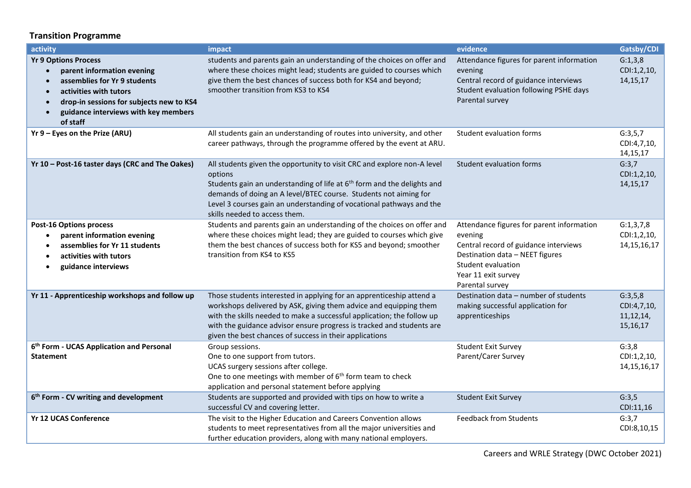## **Transition Programme**

| activity                                                                                                                                                                                                                                                   | impact                                                                                                                                                                                                                                                                                                                                                  | evidence                                                                                                                                                                                         | Gatsby/CDI                                          |
|------------------------------------------------------------------------------------------------------------------------------------------------------------------------------------------------------------------------------------------------------------|---------------------------------------------------------------------------------------------------------------------------------------------------------------------------------------------------------------------------------------------------------------------------------------------------------------------------------------------------------|--------------------------------------------------------------------------------------------------------------------------------------------------------------------------------------------------|-----------------------------------------------------|
| <b>Yr 9 Options Process</b><br>parent information evening<br>assemblies for Yr 9 students<br>$\bullet$<br>activities with tutors<br>$\bullet$<br>drop-in sessions for subjects new to KS4<br>$\bullet$<br>guidance interviews with key members<br>of staff | students and parents gain an understanding of the choices on offer and<br>where these choices might lead; students are guided to courses which<br>give them the best chances of success both for KS4 and beyond;<br>smoother transition from KS3 to KS4                                                                                                 | Attendance figures for parent information<br>evening<br>Central record of guidance interviews<br>Student evaluation following PSHE days<br>Parental survey                                       | G:1,3,8<br>CDI:1,2,10,<br>14, 15, 17                |
| $Yr$ 9 – Eyes on the Prize (ARU)                                                                                                                                                                                                                           | All students gain an understanding of routes into university, and other<br>career pathways, through the programme offered by the event at ARU.                                                                                                                                                                                                          | Student evaluation forms                                                                                                                                                                         | G:3,5,7<br>CDI:4,7,10,<br>14, 15, 17                |
| Yr 10 - Post-16 taster days (CRC and The Oakes)                                                                                                                                                                                                            | All students given the opportunity to visit CRC and explore non-A level<br>options<br>Students gain an understanding of life at 6 <sup>th</sup> form and the delights and<br>demands of doing an A level/BTEC course. Students not aiming for<br>Level 3 courses gain an understanding of vocational pathways and the<br>skills needed to access them.  | <b>Student evaluation forms</b>                                                                                                                                                                  | G:3,7<br>CDI:1,2,10,<br>14, 15, 17                  |
| <b>Post-16 Options process</b><br>parent information evening<br>$\bullet$<br>assemblies for Yr 11 students<br>$\bullet$<br>activities with tutors<br>$\bullet$<br>guidance interviews<br>$\bullet$                                                         | Students and parents gain an understanding of the choices on offer and<br>where these choices might lead; they are guided to courses which give<br>them the best chances of success both for KS5 and beyond; smoother<br>transition from KS4 to KS5                                                                                                     | Attendance figures for parent information<br>evening<br>Central record of guidance interviews<br>Destination data - NEET figures<br>Student evaluation<br>Year 11 exit survey<br>Parental survey | G:1,3,7,8<br>CDI:1,2,10,<br>14, 15, 16, 17          |
| Yr 11 - Apprenticeship workshops and follow up                                                                                                                                                                                                             | Those students interested in applying for an apprenticeship attend a<br>workshops delivered by ASK, giving them advice and equipping them<br>with the skills needed to make a successful application; the follow up<br>with the guidance advisor ensure progress is tracked and students are<br>given the best chances of success in their applications | Destination data - number of students<br>making successful application for<br>apprenticeships                                                                                                    | G:3,5,8<br>CDI:4,7,10,<br>11, 12, 14,<br>15, 16, 17 |
| 6 <sup>th</sup> Form - UCAS Application and Personal<br><b>Statement</b>                                                                                                                                                                                   | Group sessions.<br>One to one support from tutors.<br>UCAS surgery sessions after college.<br>One to one meetings with member of 6 <sup>th</sup> form team to check<br>application and personal statement before applying                                                                                                                               | <b>Student Exit Survey</b><br>Parent/Carer Survey                                                                                                                                                | G:3,8<br>CDI:1,2,10,<br>14, 15, 16, 17              |
| 6 <sup>th</sup> Form - CV writing and development                                                                                                                                                                                                          | Students are supported and provided with tips on how to write a<br>successful CV and covering letter.                                                                                                                                                                                                                                                   | <b>Student Exit Survey</b>                                                                                                                                                                       | G:3,5<br>CDI:11,16                                  |
| <b>Yr 12 UCAS Conference</b>                                                                                                                                                                                                                               | The visit to the Higher Education and Careers Convention allows<br>students to meet representatives from all the major universities and<br>further education providers, along with many national employers.                                                                                                                                             | <b>Feedback from Students</b>                                                                                                                                                                    | G:3,7<br>CDI:8,10,15                                |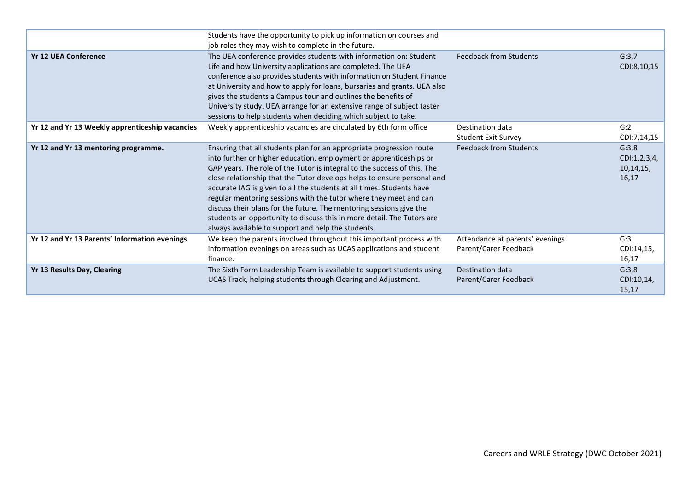|                                                 | Students have the opportunity to pick up information on courses and<br>job roles they may wish to complete in the future.                                                                                                                                                                                                                                                                                                                                                                                                                                                                                                                              |                                                          |                                               |
|-------------------------------------------------|--------------------------------------------------------------------------------------------------------------------------------------------------------------------------------------------------------------------------------------------------------------------------------------------------------------------------------------------------------------------------------------------------------------------------------------------------------------------------------------------------------------------------------------------------------------------------------------------------------------------------------------------------------|----------------------------------------------------------|-----------------------------------------------|
| <b>Yr 12 UEA Conference</b>                     | The UEA conference provides students with information on: Student<br>Life and how University applications are completed. The UEA<br>conference also provides students with information on Student Finance<br>at University and how to apply for loans, bursaries and grants. UEA also<br>gives the students a Campus tour and outlines the benefits of<br>University study. UEA arrange for an extensive range of subject taster<br>sessions to help students when deciding which subject to take.                                                                                                                                                     | <b>Feedback from Students</b>                            | G:3,7<br>CDI:8,10,15                          |
| Yr 12 and Yr 13 Weekly apprenticeship vacancies | Weekly apprenticeship vacancies are circulated by 6th form office                                                                                                                                                                                                                                                                                                                                                                                                                                                                                                                                                                                      | Destination data<br><b>Student Exit Survey</b>           | G:2<br>CDI:7,14,15                            |
| Yr 12 and Yr 13 mentoring programme.            | Ensuring that all students plan for an appropriate progression route<br>into further or higher education, employment or apprenticeships or<br>GAP years. The role of the Tutor is integral to the success of this. The<br>close relationship that the Tutor develops helps to ensure personal and<br>accurate IAG is given to all the students at all times. Students have<br>regular mentoring sessions with the tutor where they meet and can<br>discuss their plans for the future. The mentoring sessions give the<br>students an opportunity to discuss this in more detail. The Tutors are<br>always available to support and help the students. | <b>Feedback from Students</b>                            | G:3,8<br>CDI:1,2,3,4,<br>10, 14, 15,<br>16,17 |
| Yr 12 and Yr 13 Parents' Information evenings   | We keep the parents involved throughout this important process with<br>information evenings on areas such as UCAS applications and student<br>finance.                                                                                                                                                                                                                                                                                                                                                                                                                                                                                                 | Attendance at parents' evenings<br>Parent/Carer Feedback | G:3<br>CDI:14,15,<br>16,17                    |
| <b>Yr 13 Results Day, Clearing</b>              | The Sixth Form Leadership Team is available to support students using<br>UCAS Track, helping students through Clearing and Adjustment.                                                                                                                                                                                                                                                                                                                                                                                                                                                                                                                 | <b>Destination data</b><br>Parent/Carer Feedback         | G:3,8<br>CDI:10,14,<br>15,17                  |